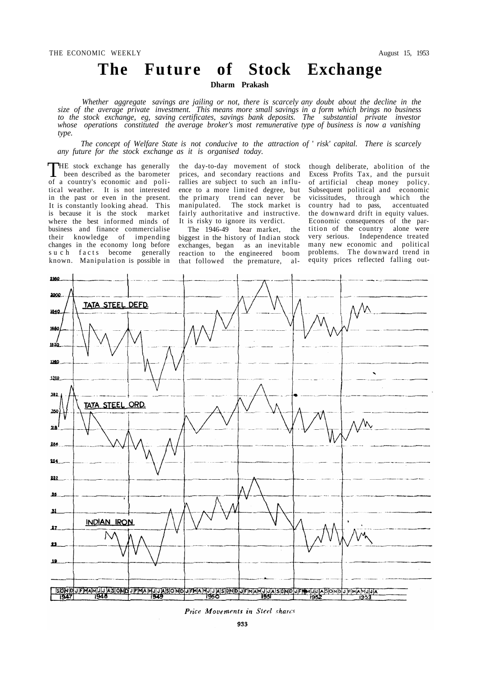# **The Future of Stock Exchange**

**Dharm Prakash** 

*Whether aggregate savings are jailing or not, there is scarcely any doubt about the decline in the size of the average private investment. This means more small savings in a form which brings no business to the stock exchange, eg, saving certificates, savings bank deposits. The substantial private investor whose operations constituted the average broker's most remunerative type of business is now a vanishing type.* 

*The concept of Welfare State is not conducive to the attraction of* ' *risk' capital. There is scarcely any future for the stock exchange as it is organised today.* 

THE stock exchange has generally<br>been described as the barometer HE stock exchange has generally of a country's economic and political weather. It is not interested in the past or even in the present. It is constantly looking ahead. This is because it is the stock market where the best informed minds of business and finance commercialise their knowledge of impending changes in the economy long before such facts become generally known. Manipulation is possible in

the day-to-day movement of stock prices, and secondary reactions and rallies are subject to such an influence to a more limited degree, but the primary trend can never be manipulated. The stock market is fairly authoritative and instructive. It is risky to ignore its verdict.

The 1946-49 bear market, the biggest in the history of Indian stock exchanges, began as an inevitable reaction to the engineered boom that followed the premature, al-

though deliberate, abolition of the Excess Profits Tax, and the pursuit of artificial cheap money policy. Subsequent political and economic vicissitudes, through which the country had to pass, accentuated the downward drift in equity values. Economic consequences of the partition of the country alone were very serious. Independence treated many new economic and political problems. The downward trend in equity prices reflected falling out-



Price Movements in Steel shares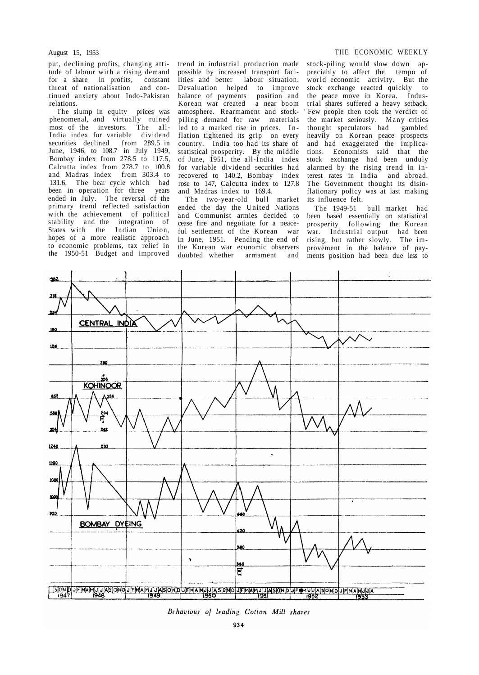put, declining profits, changing attitude of labour with a rising demand for a share in profits, constant threat of nationalisation and continued anxiety about Indo-Pakistan relations.

The slump in equity prices was phenomenal, and virtually ruined most of the investors. The all-India index for variable dividend securities declined from 289.5 in June, 1946, to 108.7 in July 1949, Bombay index from 278.5 to 117.5, Calcutta index from 278.7 to 100.8 and Madras index from 303.4 to 131.6, The bear cycle which had been in operation for three years ended in July. The reversal of the primary trend reflected satisfaction with the achievement of political stability and the integration of States with the Indian Union, hopes of a more realistic approach to economic problems, tax relief in the 1950-51 Budget and improved

trend in industrial production made possible by increased transport facilities and better labour situation. Devaluation helped to improve balance of payments position and<br>Korean war created a near boom Korean war created atmosphere. Rearmament and stockpiling demand for raw materials led to a marked rise in prices. In flation tightened its grip on every country. India too had its share of statistical prosperity. By the middle of June, 1951, the all-India index for variable dividend securities had recovered to 140.2, Bombay index rose to 147, Calcutta index to 127.8 and Madras index to 169.4.

The two-year-old bull market ended the day the United Nations and Communist armies decided to cease fire and negotiate for a peaceful settlement of the Korean war in June, 1951. Pending the end of the Korean war economic observers doubted whether armament and

#### August 15, 1953 THE ECONOMIC WEEKLY

stock-piling would slow down appreciably to affect the tempo of world economic activity. But the stock exchange reacted quickly to the peace move in Korea. Industrial shares suffered a heavy setback. Few people then took the verdict of the market seriously. Many critics<br>thought speculators had gambled thought speculators had heavily on Korean peace prospects and had exaggerated the implications. Economists said that the stock exchange had been unduly alarmed by the rising trend in interest rates in India and abroad. The Government thought its disinflationary policy was at last making its influence felt.

The 1949-51 bull market had been based essentially on statistical prosperity following the Korean war. Industrial output had been rising, but rather slowly. The improvement in the balance of payments position had been due less to



Behaviour of leading Cotton Mill shares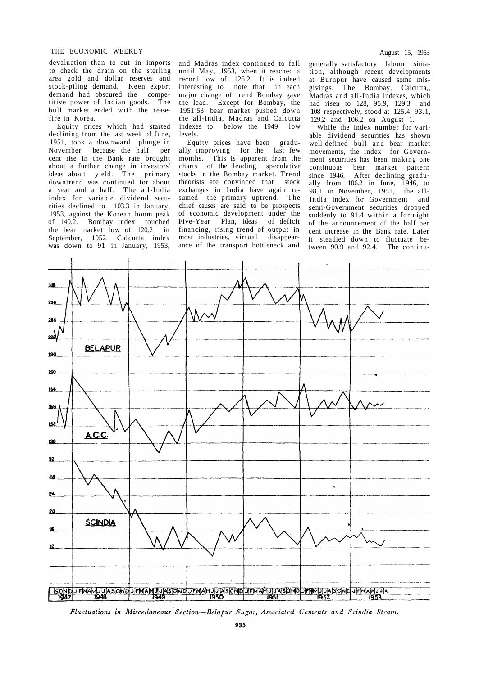## THE ECONOMIC WEEKLY August 15, 1953

devaluation than to cut in imports to check the drain on the sterling area gold and dollar reserves and stock-piling demand. Keen export demand had obscured the competitive power of Indian goods. The bull market ended with the ceasefire in Korea.

Equity prices which had started declining from the last week of June, 1951, took a downward plunge in November because the half per cent rise in the Bank rate brought about a further change in investors' ideas about yield. The primary downtrend was continued for about a year and a half. The all-India index for variable dividend securities declined to 103.3 in January, 1953, against the Korean boom peak of 140.2. Bombay index touched the bear market low of 120.2 in September, 1952. Calcutta index was down to 91 in January, 1953, and Madras index continued to fall until May, 1953, when it reached a record low of 126.2. It is indeed interesting to note that in each major change of trend Bombay gave the lead. Except for Bombay, the 1951-53 bear market pushed down the all-India, Madras and Calcutta indexes to below the 1949 low levels.

Equity prices have been gradually improving for the last few months. This is apparent from the charts of the leading speculative stocks in the Bombay market. Trend theorists are convinced that stock exchanges in India have again resumed the primary uptrend. The chief causes are said to be prospects of economic development under the Five-Year Plan, ideas of deficit financing, rising trend of output in most industries, virtual disappearance of the transport bottleneck and

generally satisfactory labour situation, although recent developments at Burnpur have caused some misgivings. The Bombay, Calcutta,, Madras and all-India indexes, which had risen to 128, 95.9, 129.3 and 108 respectively, stood at 125.4, 93.1, 129.2 and 106.2 on August 1.

While the index number for variable dividend securities has shown well-defined bull and bear market movements, the index for Government securities has been making one continuous bear market pattern<br>since 1946. After declining gradu-After declining gradually from 106.2 in June, 1946, to 98.1 in November, 1951, the all-India index for Government and semi-Government securities dropped suddenly to 91.4 within a fortnight of the announcement of the half per cent increase in the Bank rate. Later it steadied down to fluctuate between 90.9 and 92.4. The continu-



Fluctuations in Miscellaneous Section-Belapur Sugar, Associated Cements and Scindia Steam.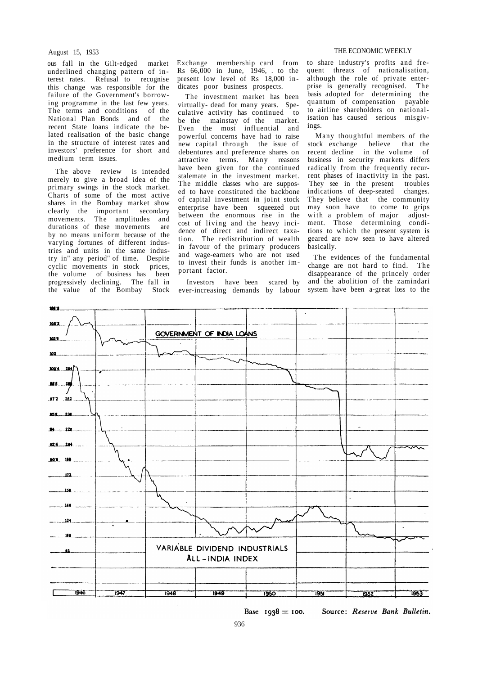#### August 15, 1953

ous fall in the Gilt-edged market underlined changing pattern of interest rates. Refusal to recognise this change was responsible for the failure of the Government's borrowing programme in the last few years. The terms and conditions of the National Plan Bonds and of the recent State loans indicate the belated realisation of the basic change in the structure of interest rates and investors' preference for short and medium term issues.

The above review is intended merely to give a broad idea of the primary swings in the stock market. Charts of some of the most active shares in the Bombay market show clearly the important secondary movements. The amplitudes and durations of these movements are by no means uniform because of the varying fortunes of different industries and units in the same industry in" any period" of time. Despite cyclic movements in stock prices, the volume of business has been progressively declining. The fall in the value of the Bombay Stock

Exchange membership card from  $Rs$  66,000 in June, 1946, . to the present low level of Rs 18,000 indicates poor business prospects.

The investment market has been virtually- dead for many years. Speculative activity has continued to be the mainstay of the market. Even the most influential and powerful concerns have had to raise new capital through the issue of debentures and preference shares on attractive terms. Many reasons have been given for the continued stalemate in the investment market. The middle classes who are supposed to have constituted the backbone of capital investment in joint stock enterprise have been squeezed out between the enormous rise in the cost of living and the heavy incidence of direct and indirect taxation. The redistribution of wealth in favour of the primary producers and wage-earners who are not used to invest their funds is another important factor.

Investors have been scared by ever-increasing demands by labour

#### THE ECONOMIC WEEKLY

to share industry's profits and frequent threats of nationalisation, although the role of private enterprise is generally recognised. The basis adopted for determining the quantum of compensation payable to airline shareholders on nationalisation has caused serious misgivings.

Many thoughtful members of the stock exchange believe that the recent decline in the volume of business in security markets differs radically from the frequently recurrent phases of inactivity in the past. They see in the present troubles indications of deep-seated changes. They believe that the community may soon have to come to grips with a problem of major adjustment. Those determining conditions to which the present system is geared are now seen to have altered basically.

The evidences of the fundamental change are not hard to find. The disappearance of the princely order and the abolition of the zamindari system have been a-great loss to the



Base  $1938 = 100$ .